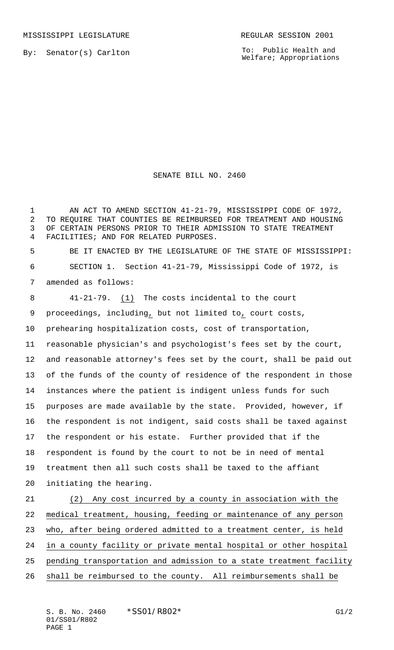By: Senator(s) Carlton

To: Public Health and Welfare; Appropriations

## SENATE BILL NO. 2460

1 AN ACT TO AMEND SECTION 41-21-79, MISSISSIPPI CODE OF 1972, TO REQUIRE THAT COUNTIES BE REIMBURSED FOR TREATMENT AND HOUSING OF CERTAIN PERSONS PRIOR TO THEIR ADMISSION TO STATE TREATMENT FACILITIES; AND FOR RELATED PURPOSES. BE IT ENACTED BY THE LEGISLATURE OF THE STATE OF MISSISSIPPI:

 SECTION 1. Section 41-21-79, Mississippi Code of 1972, is amended as follows:

 41-21-79. (1) The costs incidental to the court proceedings, including, but not limited to, court costs, prehearing hospitalization costs, cost of transportation, reasonable physician's and psychologist's fees set by the court, and reasonable attorney's fees set by the court, shall be paid out of the funds of the county of residence of the respondent in those instances where the patient is indigent unless funds for such purposes are made available by the state. Provided, however, if the respondent is not indigent, said costs shall be taxed against the respondent or his estate. Further provided that if the respondent is found by the court to not be in need of mental treatment then all such costs shall be taxed to the affiant initiating the hearing. (2) Any cost incurred by a county in association with the medical treatment, housing, feeding or maintenance of any person who, after being ordered admitted to a treatment center, is held

in a county facility or private mental hospital or other hospital

- 25 pending transportation and admission to a state treatment facility
- shall be reimbursed to the county. All reimbursements shall be